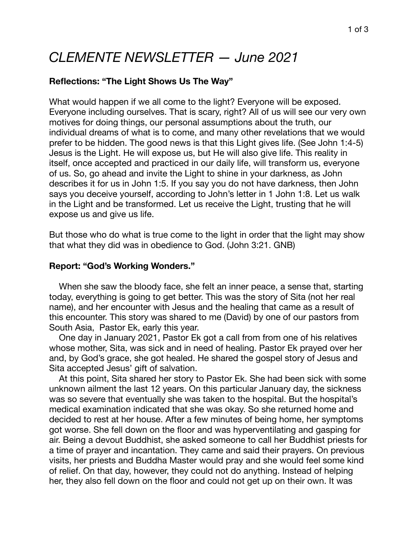# *CLEMENTE NEWSLETTER — June 2021*

## **Reflections: "The Light Shows Us The Way"**

What would happen if we all come to the light? Everyone will be exposed. Everyone including ourselves. That is scary, right? All of us will see our very own motives for doing things, our personal assumptions about the truth, our individual dreams of what is to come, and many other revelations that we would prefer to be hidden. The good news is that this Light gives life. (See John 1:4-5) Jesus is the Light. He will expose us, but He will also give life. This reality in itself, once accepted and practiced in our daily life, will transform us, everyone of us. So, go ahead and invite the Light to shine in your darkness, as John describes it for us in John 1:5. If you say you do not have darkness, then John says you deceive yourself, according to John's letter in 1 John 1:8. Let us walk in the Light and be transformed. Let us receive the Light, trusting that he will expose us and give us life.

But those who do what is true come to the light in order that the light may show that what they did was in obedience to God. (John 3:21. GNB)

#### **Report: "God's Working Wonders."**

 When she saw the bloody face, she felt an inner peace, a sense that, starting today, everything is going to get better. This was the story of Sita (not her real name), and her encounter with Jesus and the healing that came as a result of this encounter. This story was shared to me (David) by one of our pastors from South Asia, Pastor Ek, early this year.

 One day in January 2021, Pastor Ek got a call from from one of his relatives whose mother, Sita, was sick and in need of healing. Pastor Ek prayed over her and, by God's grace, she got healed. He shared the gospel story of Jesus and Sita accepted Jesus' gift of salvation.

 At this point, Sita shared her story to Pastor Ek. She had been sick with some unknown ailment the last 12 years. On this particular January day, the sickness was so severe that eventually she was taken to the hospital. But the hospital's medical examination indicated that she was okay. So she returned home and decided to rest at her house. After a few minutes of being home, her symptoms got worse. She fell down on the floor and was hyperventilating and gasping for air. Being a devout Buddhist, she asked someone to call her Buddhist priests for a time of prayer and incantation. They came and said their prayers. On previous visits, her priests and Buddha Master would pray and she would feel some kind of relief. On that day, however, they could not do anything. Instead of helping her, they also fell down on the floor and could not get up on their own. It was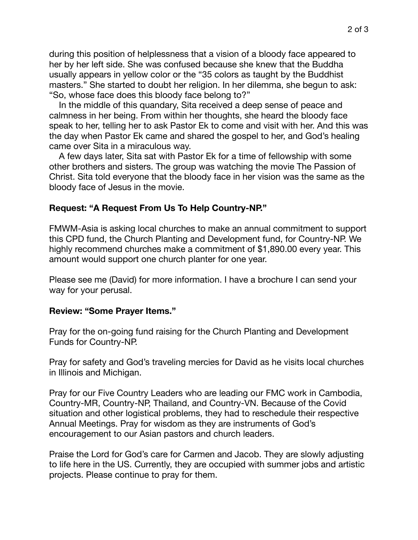during this position of helplessness that a vision of a bloody face appeared to her by her left side. She was confused because she knew that the Buddha usually appears in yellow color or the "35 colors as taught by the Buddhist masters." She started to doubt her religion. In her dilemma, she begun to ask: "So, whose face does this bloody face belong to?"

 In the middle of this quandary, Sita received a deep sense of peace and calmness in her being. From within her thoughts, she heard the bloody face speak to her, telling her to ask Pastor Ek to come and visit with her. And this was the day when Pastor Ek came and shared the gospel to her, and God's healing came over Sita in a miraculous way.

 A few days later, Sita sat with Pastor Ek for a time of fellowship with some other brothers and sisters. The group was watching the movie The Passion of Christ. Sita told everyone that the bloody face in her vision was the same as the bloody face of Jesus in the movie.

#### **Request: "A Request From Us To Help Country-NP."**

FMWM-Asia is asking local churches to make an annual commitment to support this CPD fund, the Church Planting and Development fund, for Country-NP. We highly recommend churches make a commitment of \$1,890.00 every year. This amount would support one church planter for one year.

Please see me (David) for more information. I have a brochure I can send your way for your perusal.

#### **Review: "Some Prayer Items."**

Pray for the on-going fund raising for the Church Planting and Development Funds for Country-NP.

Pray for safety and God's traveling mercies for David as he visits local churches in Illinois and Michigan.

Pray for our Five Country Leaders who are leading our FMC work in Cambodia, Country-MR, Country-NP, Thailand, and Country-VN. Because of the Covid situation and other logistical problems, they had to reschedule their respective Annual Meetings. Pray for wisdom as they are instruments of God's encouragement to our Asian pastors and church leaders.

Praise the Lord for God's care for Carmen and Jacob. They are slowly adjusting to life here in the US. Currently, they are occupied with summer jobs and artistic projects. Please continue to pray for them.